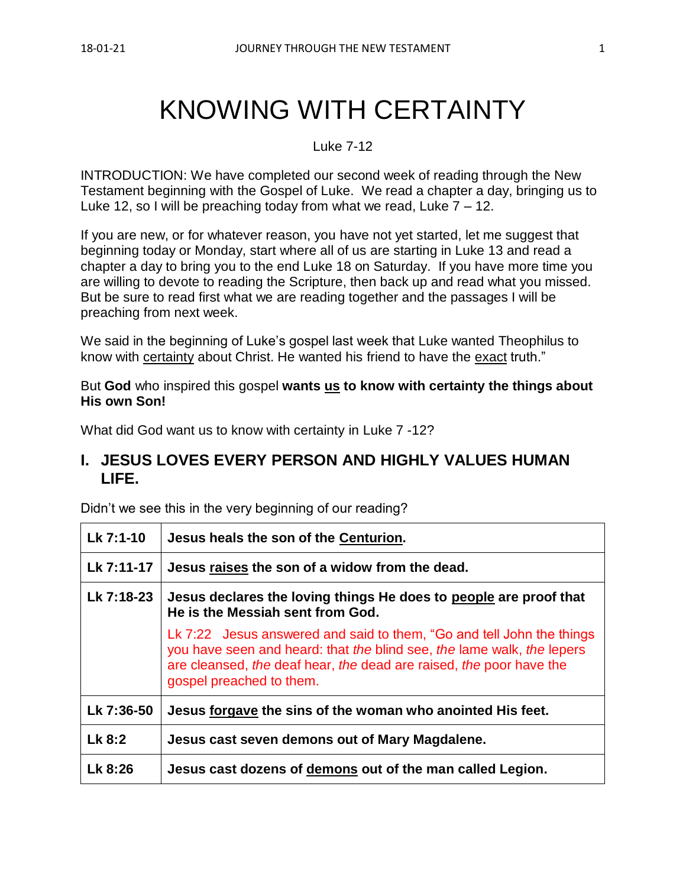# KNOWING WITH CERTAINTY

#### Luke 7-12

INTRODUCTION: We have completed our second week of reading through the New Testament beginning with the Gospel of Luke. We read a chapter a day, bringing us to Luke 12, so I will be preaching today from what we read, Luke  $7 - 12$ .

If you are new, or for whatever reason, you have not yet started, let me suggest that beginning today or Monday, start where all of us are starting in Luke 13 and read a chapter a day to bring you to the end Luke 18 on Saturday. If you have more time you are willing to devote to reading the Scripture, then back up and read what you missed. But be sure to read first what we are reading together and the passages I will be preaching from next week.

We said in the beginning of Luke's gospel last week that Luke wanted Theophilus to know with certainty about Christ. He wanted his friend to have the exact truth."

But **God** who inspired this gospel **wants us to know with certainty the things about His own Son!**

What did God want us to know with certainty in Luke 7 -12?

## **I. JESUS LOVES EVERY PERSON AND HIGHLY VALUES HUMAN LIFE.**

Didn't we see this in the very beginning of our reading?

| Lk 7:1-10  | Jesus heals the son of the Centurion.                                                                                                                                                                                                              |
|------------|----------------------------------------------------------------------------------------------------------------------------------------------------------------------------------------------------------------------------------------------------|
| Lk 7:11-17 | Jesus raises the son of a widow from the dead.                                                                                                                                                                                                     |
| Lk 7:18-23 | Jesus declares the loving things He does to people are proof that<br>He is the Messiah sent from God.                                                                                                                                              |
|            | Lk 7:22 Jesus answered and said to them, "Go and tell John the things<br>you have seen and heard: that the blind see, the lame walk, the lepers<br>are cleansed, the deaf hear, the dead are raised, the poor have the<br>gospel preached to them. |
| Lk 7:36-50 | Jesus forgave the sins of the woman who anointed His feet.                                                                                                                                                                                         |
| $Lk$ 8:2   | Jesus cast seven demons out of Mary Magdalene.                                                                                                                                                                                                     |
| Lk 8:26    | Jesus cast dozens of demons out of the man called Legion.                                                                                                                                                                                          |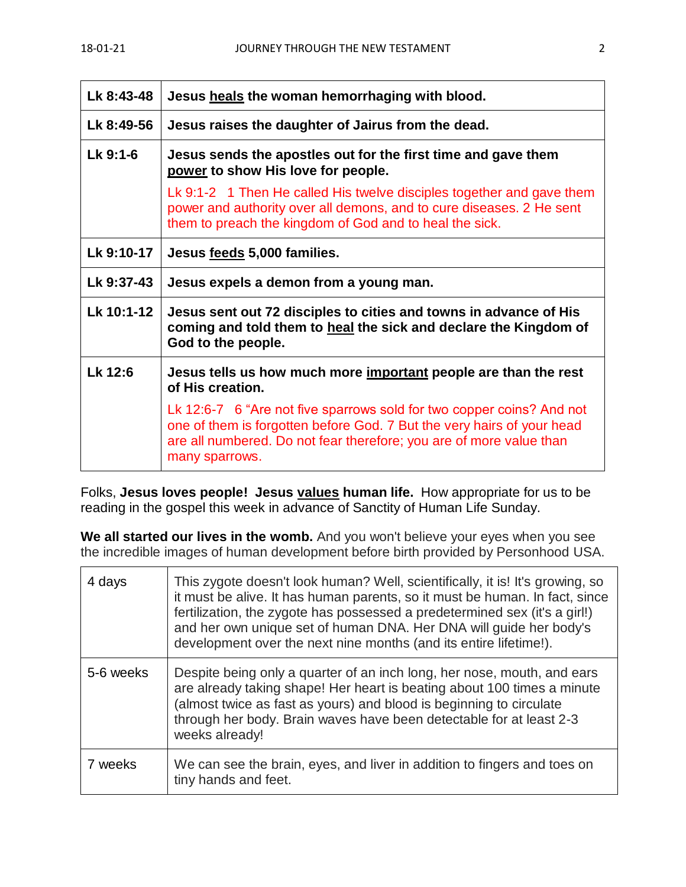| Lk 8:43-48 | Jesus heals the woman hemorrhaging with blood.                                                                                                                                                                                           |
|------------|------------------------------------------------------------------------------------------------------------------------------------------------------------------------------------------------------------------------------------------|
| Lk 8:49-56 | Jesus raises the daughter of Jairus from the dead.                                                                                                                                                                                       |
| Lk 9:1-6   | Jesus sends the apostles out for the first time and gave them<br>power to show His love for people.                                                                                                                                      |
|            | Lk 9:1-2 1 Then He called His twelve disciples together and gave them<br>power and authority over all demons, and to cure diseases. 2 He sent<br>them to preach the kingdom of God and to heal the sick.                                 |
| Lk 9:10-17 | Jesus feeds 5,000 families.                                                                                                                                                                                                              |
| Lk 9:37-43 | Jesus expels a demon from a young man.                                                                                                                                                                                                   |
| Lk 10:1-12 | Jesus sent out 72 disciples to cities and towns in advance of His<br>coming and told them to heal the sick and declare the Kingdom of<br>God to the people.                                                                              |
| Lk 12:6    | Jesus tells us how much more important people are than the rest<br>of His creation.                                                                                                                                                      |
|            | Lk 12:6-7 6 "Are not five sparrows sold for two copper coins? And not<br>one of them is forgotten before God. 7 But the very hairs of your head<br>are all numbered. Do not fear therefore; you are of more value than<br>many sparrows. |

Folks, **Jesus loves people! Jesus values human life.** How appropriate for us to be reading in the gospel this week in advance of Sanctity of Human Life Sunday.

**We all started our lives in the womb.** And you won't believe your eyes when you see the incredible images of human development before birth provided by Personhood USA.

| 4 days    | This zygote doesn't look human? Well, scientifically, it is! It's growing, so<br>it must be alive. It has human parents, so it must be human. In fact, since<br>fertilization, the zygote has possessed a predetermined sex (it's a girl!)<br>and her own unique set of human DNA. Her DNA will guide her body's<br>development over the next nine months (and its entire lifetime!). |
|-----------|---------------------------------------------------------------------------------------------------------------------------------------------------------------------------------------------------------------------------------------------------------------------------------------------------------------------------------------------------------------------------------------|
| 5-6 weeks | Despite being only a quarter of an inch long, her nose, mouth, and ears<br>are already taking shape! Her heart is beating about 100 times a minute<br>(almost twice as fast as yours) and blood is beginning to circulate<br>through her body. Brain waves have been detectable for at least 2-3<br>weeks already!                                                                    |
| 7 weeks   | We can see the brain, eyes, and liver in addition to fingers and toes on<br>tiny hands and feet.                                                                                                                                                                                                                                                                                      |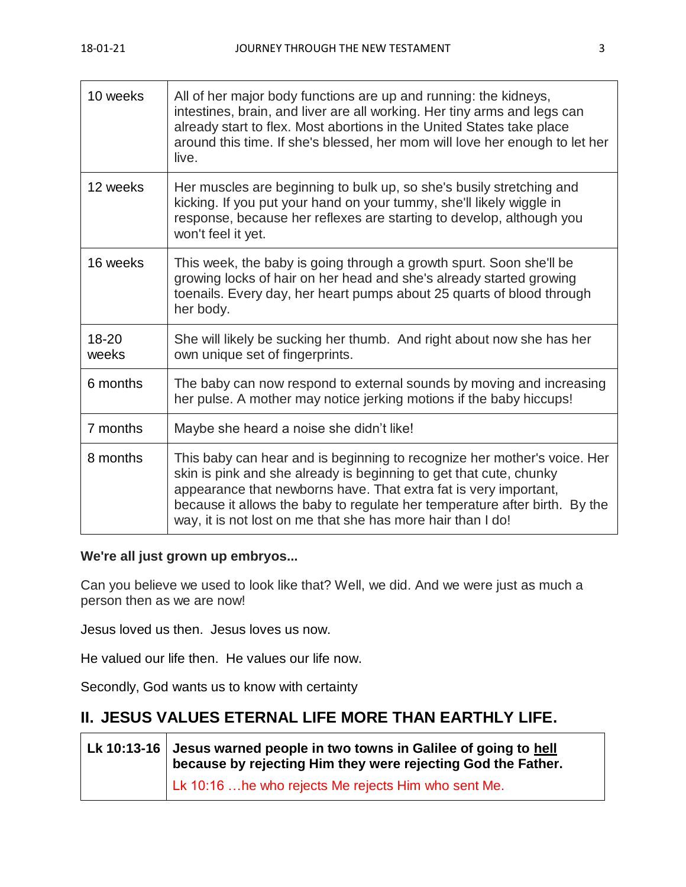| 10 weeks       | All of her major body functions are up and running: the kidneys,<br>intestines, brain, and liver are all working. Her tiny arms and legs can<br>already start to flex. Most abortions in the United States take place<br>around this time. If she's blessed, her mom will love her enough to let her<br>live.                                                   |
|----------------|-----------------------------------------------------------------------------------------------------------------------------------------------------------------------------------------------------------------------------------------------------------------------------------------------------------------------------------------------------------------|
| 12 weeks       | Her muscles are beginning to bulk up, so she's busily stretching and<br>kicking. If you put your hand on your tummy, she'll likely wiggle in<br>response, because her reflexes are starting to develop, although you<br>won't feel it yet.                                                                                                                      |
| 16 weeks       | This week, the baby is going through a growth spurt. Soon she'll be<br>growing locks of hair on her head and she's already started growing<br>toenails. Every day, her heart pumps about 25 quarts of blood through<br>her body.                                                                                                                                |
| 18-20<br>weeks | She will likely be sucking her thumb. And right about now she has her<br>own unique set of fingerprints.                                                                                                                                                                                                                                                        |
| 6 months       | The baby can now respond to external sounds by moving and increasing<br>her pulse. A mother may notice jerking motions if the baby hiccups!                                                                                                                                                                                                                     |
| 7 months       | Maybe she heard a noise she didn't like!                                                                                                                                                                                                                                                                                                                        |
| 8 months       | This baby can hear and is beginning to recognize her mother's voice. Her<br>skin is pink and she already is beginning to get that cute, chunky<br>appearance that newborns have. That extra fat is very important,<br>because it allows the baby to regulate her temperature after birth. By the<br>way, it is not lost on me that she has more hair than I do! |

## **We're all just grown up embryos...**

Can you believe we used to look like that? Well, we did. And we were just as much a person then as we are now!

Jesus loved us then. Jesus loves us now.

He valued our life then. He values our life now.

Secondly, God wants us to know with certainty

# **II. JESUS VALUES ETERNAL LIFE MORE THAN EARTHLY LIFE.**

**Lk 10:13-16 Jesus warned people in two towns in Galilee of going to hell because by rejecting Him they were rejecting God the Father.** Lk 10:16 …he who rejects Me rejects Him who sent Me.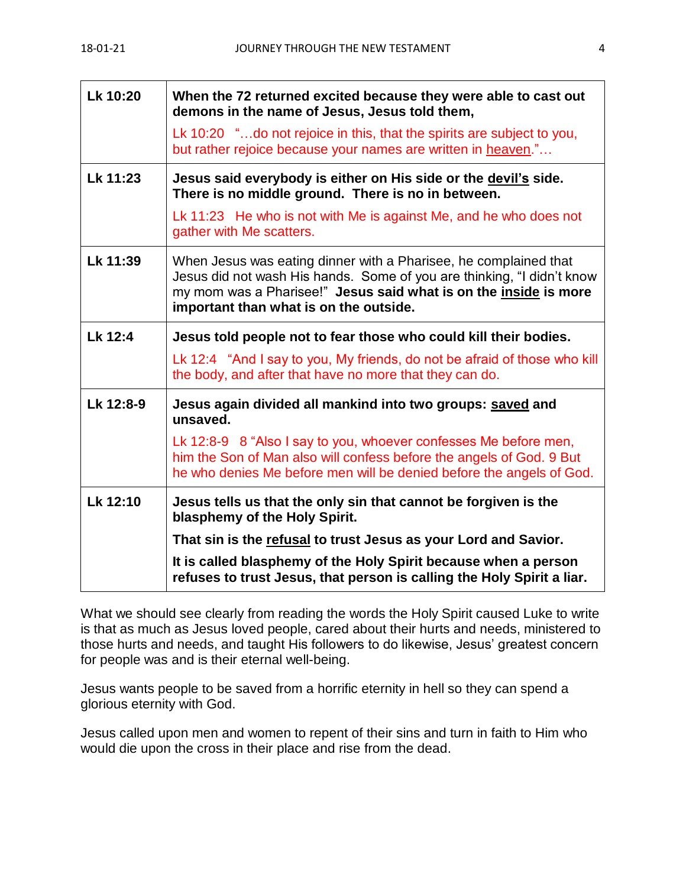| Lk 10:20  | When the 72 returned excited because they were able to cast out<br>demons in the name of Jesus, Jesus told them,                                                                                                                                         |
|-----------|----------------------------------------------------------------------------------------------------------------------------------------------------------------------------------------------------------------------------------------------------------|
|           | Lk 10:20 "do not rejoice in this, that the spirits are subject to you,<br>but rather rejoice because your names are written in heaven."                                                                                                                  |
| Lk 11:23  | Jesus said everybody is either on His side or the devil's side.<br>There is no middle ground. There is no in between.                                                                                                                                    |
|           | Lk 11:23 He who is not with Me is against Me, and he who does not<br>gather with Me scatters.                                                                                                                                                            |
| Lk 11:39  | When Jesus was eating dinner with a Pharisee, he complained that<br>Jesus did not wash His hands. Some of you are thinking, "I didn't know<br>my mom was a Pharisee!" Jesus said what is on the inside is more<br>important than what is on the outside. |
| Lk 12:4   | Jesus told people not to fear those who could kill their bodies.                                                                                                                                                                                         |
|           | Lk 12:4 "And I say to you, My friends, do not be afraid of those who kill<br>the body, and after that have no more that they can do.                                                                                                                     |
| Lk 12:8-9 | Jesus again divided all mankind into two groups: saved and<br>unsaved.                                                                                                                                                                                   |
|           | Lk 12:8-9 8 "Also I say to you, whoever confesses Me before men,<br>him the Son of Man also will confess before the angels of God. 9 But<br>he who denies Me before men will be denied before the angels of God.                                         |
| Lk 12:10  | Jesus tells us that the only sin that cannot be forgiven is the<br>blasphemy of the Holy Spirit.                                                                                                                                                         |
|           | That sin is the refusal to trust Jesus as your Lord and Savior.                                                                                                                                                                                          |
|           | It is called blasphemy of the Holy Spirit because when a person<br>refuses to trust Jesus, that person is calling the Holy Spirit a liar.                                                                                                                |

What we should see clearly from reading the words the Holy Spirit caused Luke to write is that as much as Jesus loved people, cared about their hurts and needs, ministered to those hurts and needs, and taught His followers to do likewise, Jesus' greatest concern for people was and is their eternal well-being.

Jesus wants people to be saved from a horrific eternity in hell so they can spend a glorious eternity with God.

Jesus called upon men and women to repent of their sins and turn in faith to Him who would die upon the cross in their place and rise from the dead.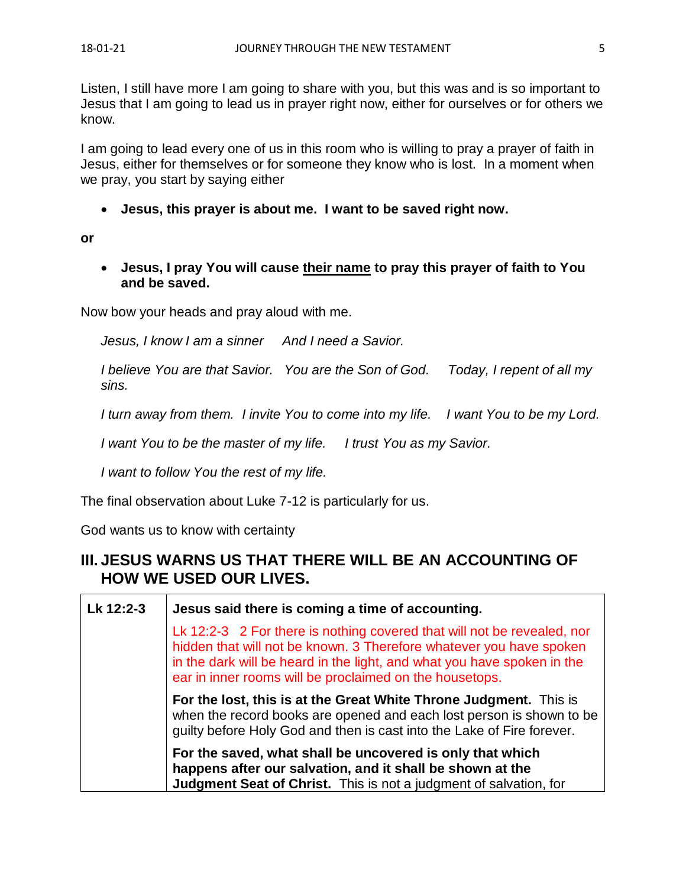Listen, I still have more I am going to share with you, but this was and is so important to Jesus that I am going to lead us in prayer right now, either for ourselves or for others we know.

I am going to lead every one of us in this room who is willing to pray a prayer of faith in Jesus, either for themselves or for someone they know who is lost. In a moment when we pray, you start by saying either

• **Jesus, this prayer is about me. I want to be saved right now.**

**or**

• **Jesus, I pray You will cause their name to pray this prayer of faith to You and be saved.**

Now bow your heads and pray aloud with me.

*Jesus, I know I am a sinner And I need a Savior.*

*I believe You are that Savior. You are the Son of God. Today, I repent of all my sins.*

*I turn away from them. I invite You to come into my life. I want You to be my Lord.*

*I want You to be the master of my life. I trust You as my Savior.*

*I want to follow You the rest of my life.*

The final observation about Luke 7-12 is particularly for us.

God wants us to know with certainty

# **III. JESUS WARNS US THAT THERE WILL BE AN ACCOUNTING OF HOW WE USED OUR LIVES.**

| Lk 12:2-3 | Jesus said there is coming a time of accounting.                                                                                                                                                                                                                                     |
|-----------|--------------------------------------------------------------------------------------------------------------------------------------------------------------------------------------------------------------------------------------------------------------------------------------|
|           | Lk 12:2-3 2 For there is nothing covered that will not be revealed, nor<br>hidden that will not be known. 3 Therefore whatever you have spoken<br>in the dark will be heard in the light, and what you have spoken in the<br>ear in inner rooms will be proclaimed on the housetops. |
|           | For the lost, this is at the Great White Throne Judgment. This is<br>when the record books are opened and each lost person is shown to be<br>guilty before Holy God and then is cast into the Lake of Fire forever.                                                                  |
|           | For the saved, what shall be uncovered is only that which<br>happens after our salvation, and it shall be shown at the<br><b>Judgment Seat of Christ.</b> This is not a judgment of salvation, for                                                                                   |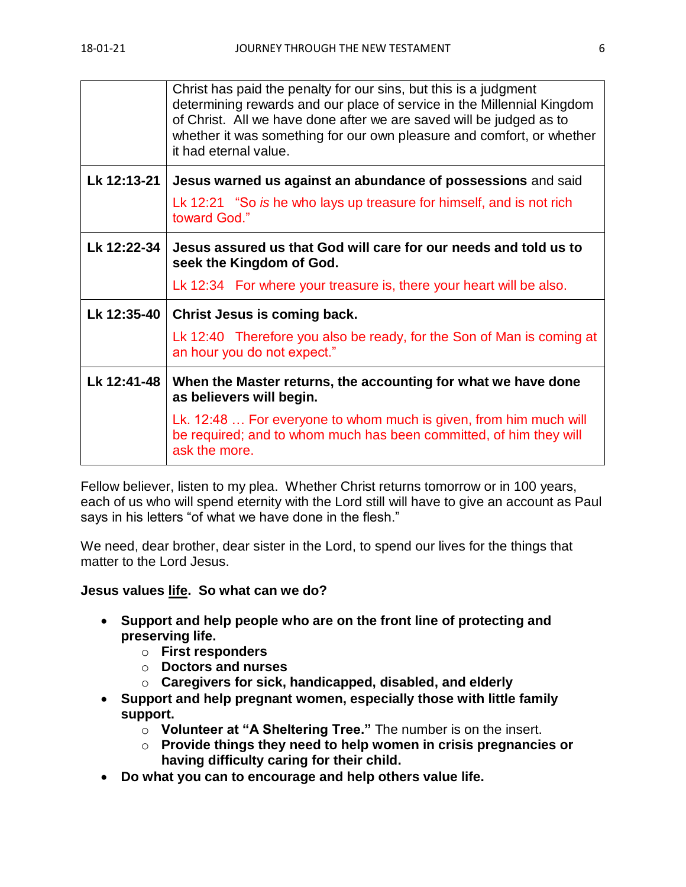|             | Christ has paid the penalty for our sins, but this is a judgment<br>determining rewards and our place of service in the Millennial Kingdom<br>of Christ. All we have done after we are saved will be judged as to<br>whether it was something for our own pleasure and comfort, or whether<br>it had eternal value. |
|-------------|---------------------------------------------------------------------------------------------------------------------------------------------------------------------------------------------------------------------------------------------------------------------------------------------------------------------|
| Lk 12:13-21 | Jesus warned us against an abundance of possessions and said                                                                                                                                                                                                                                                        |
|             | Lk 12:21 "So is he who lays up treasure for himself, and is not rich<br>toward God."                                                                                                                                                                                                                                |
| Lk 12:22-34 | Jesus assured us that God will care for our needs and told us to<br>seek the Kingdom of God.                                                                                                                                                                                                                        |
|             | Lk 12:34 For where your treasure is, there your heart will be also.                                                                                                                                                                                                                                                 |
| Lk 12:35-40 | <b>Christ Jesus is coming back.</b>                                                                                                                                                                                                                                                                                 |
|             | Lk 12:40 Therefore you also be ready, for the Son of Man is coming at<br>an hour you do not expect."                                                                                                                                                                                                                |
| Lk 12:41-48 | When the Master returns, the accounting for what we have done<br>as believers will begin.                                                                                                                                                                                                                           |
|             | Lk. 12:48  For everyone to whom much is given, from him much will<br>be required; and to whom much has been committed, of him they will<br>ask the more.                                                                                                                                                            |

Fellow believer, listen to my plea. Whether Christ returns tomorrow or in 100 years, each of us who will spend eternity with the Lord still will have to give an account as Paul says in his letters "of what we have done in the flesh."

We need, dear brother, dear sister in the Lord, to spend our lives for the things that matter to the Lord Jesus.

## **Jesus values life. So what can we do?**

- **Support and help people who are on the front line of protecting and preserving life.**
	- o **First responders**
	- o **Doctors and nurses**
	- o **Caregivers for sick, handicapped, disabled, and elderly**
- **Support and help pregnant women, especially those with little family support.**
	- o **Volunteer at "A Sheltering Tree."** The number is on the insert.
	- o **Provide things they need to help women in crisis pregnancies or having difficulty caring for their child.**
- **Do what you can to encourage and help others value life.**